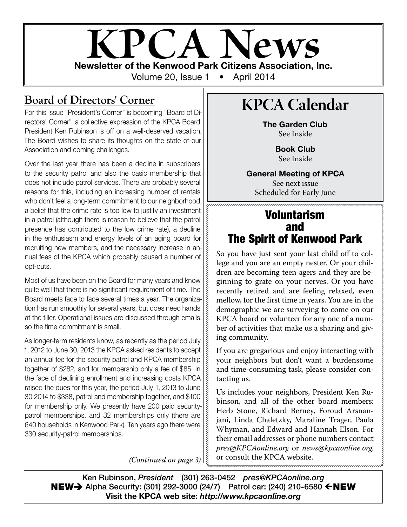# **KPCA Newsletter of the Kenwood Park Citizens Association, Inc.** Volume 20, Issue 1 • April 2014

## **Board of Directors' Corner**

For this issue "President's Corner" is becoming "Board of Directors' Corner", a collective expression of the KPCA Board. President Ken Rubinson is off on a well-deserved vacation. The Board wishes to share its thoughts on the state of our Association and coming challenges.

Over the last year there has been a decline in subscribers to the security patrol and also the basic membership that does not include patrol services. There are probably several reasons for this, including an increasing number of rentals who don't feel a long-term commitment to our neighborhood, a belief that the crime rate is too low to justify an investment in a patrol (although there is reason to believe that the patrol presence has contributed to the low crime rate), a decline in the enthusiasm and energy levels of an aging board for recruiting new members, and the necessary increase in annual fees of the KPCA which probably caused a number of opt-outs.

Most of us have been on the Board for many years and know quite well that there is no significant requirement of time. The Board meets face to face several times a year. The organization has run smoothly for several years, but does need hands at the tiller. Operational issues are discussed through emails, so the time commitment is small.

As longer-term residents know, as recently as the period July 1, 2012 to June 30, 2013 the KPCA asked residents to accept an annual fee for the security patrol and KPCA membership together of \$282, and for membership only a fee of \$85. In the face of declining enrollment and increasing costs KPCA raised the dues for this year, the period July 1, 2013 to June 30 2014 to \$338, patrol and membership together, and \$100 for membership only. We presently have 200 paid securitypatrol memberships, and 32 memberships only (there are 640 households in Kenwood Park). Ten years ago there were 330 security-patrol memberships.

*(Continued on page 3)*

# **KPCA Calendar**

The Garden Club See Inside

> Book Club See Inside

### General Meeting of KPCA

See next issue Scheduled for Early June

### Voluntarism and The Spirit of Kenwood Park

So you have just sent your last child off to college and you are an empty nester. Or your children are becoming teen-agers and they are beginning to grate on your nerves. Or you have recently retired and are feeling relaxed, even mellow, for the first time in years. You are in the demographic we are surveying to come on our KPCA board or volunteer for any one of a number of activities that make us a sharing and giving community.

If you are gregarious and enjoy interacting with your neighbors but don't want a burdensome and time-consuming task, please consider contacting us.

Us includes your neighbors, President Ken Rubinson, and all of the other board members: Herb Stone, Richard Berney, Foroud Arsnanjani, Linda Chaletzky, Maraline Trager, Paula Whyman, and Edward and Hannah Elson. For their email addresses or phone numbers contact *pres@KPCAonline.org* or *news@kpcaonline.org*. or consult the KPCA website.

Ken Rubinson, *President* (301) 263-0452 *pres@KPCAonline.org* **NEW** Alpha Security: (301) 292-3000 (24/7) Patrol car: (240) 210-6580  $\leftarrow$  **NEW** Visit the KPCA web site: *http://www.kpcaonline.org*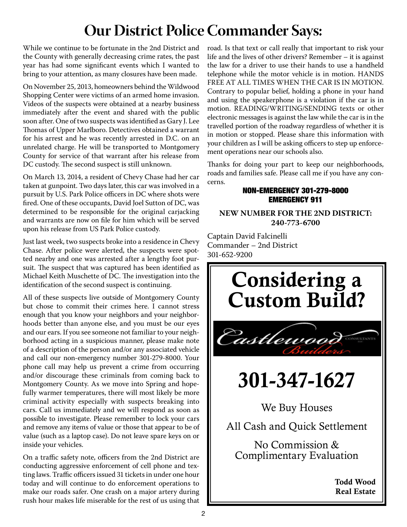# **Our District Police Commander Says:**

While we continue to be fortunate in the 2nd District and the County with generally decreasing crime rates, the past year has had some significant events which I wanted to bring to your attention, as many closures have been made.

On November 25, 2013, homeowners behind the Wildwood Shopping Center were victims of an armed home invasion. Videos of the suspects were obtained at a nearby business immediately after the event and shared with the public soon after. One of two suspects was identified as Gary J. Lee Thomas of Upper Marlboro. Detectives obtained a warrant for his arrest and he was recently arrested in D.C. on an unrelated charge. He will be transported to Montgomery County for service of that warrant after his release from DC custody. The second suspect is still unknown.

On March 13, 2014, a resident of Chevy Chase had her car taken at gunpoint. Two days later, this car was involved in a pursuit by U.S. Park Police officers in DC where shots were fired. One of these occupants, David Joel Sutton of DC, was determined to be responsible for the original carjacking and warrants are now on file for him which will be served upon his release from US Park Police custody.

Just last week, two suspects broke into a residence in Chevy Chase. After police were alerted, the suspects were spotted nearby and one was arrested after a lengthy foot pursuit. The suspect that was captured has been identified as Michael Keith Muschette of DC. The investigation into the identification of the second suspect is continuing.

All of these suspects live outside of Montgomery County but chose to commit their crimes here. I cannot stress enough that you know your neighbors and your neighborhoods better than anyone else, and you must be our eyes and our ears. If you see someone not familiar to your neighborhood acting in a suspicious manner, please make note of a description of the person and/or any associated vehicle and call our non-emergency number 301-279-8000. Your phone call may help us prevent a crime from occurring and/or discourage these criminals from coming back to Montgomery County. As we move into Spring and hopefully warmer temperatures, there will most likely be more criminal activity especially with suspects breaking into cars. Call us immediately and we will respond as soon as possible to investigate. Please remember to lock your cars and remove any items of value or those that appear to be of value (such as a laptop case). Do not leave spare keys on or inside your vehicles.

On a traffic safety note, officers from the 2nd District are conducting aggressive enforcement of cell phone and texting laws. Traffic officers issued 31 tickets in under one hour today and will continue to do enforcement operations to make our roads safer. One crash on a major artery during rush hour makes life miserable for the rest of us using that road. Is that text or call really that important to risk your life and the lives of other drivers? Remember – it is against the law for a driver to use their hands to use a handheld telephone while the motor vehicle is in motion. HANDS FREE AT ALL TIMES WHEN THE CAR IS IN MOTION. Contrary to popular belief, holding a phone in your hand<br>and using the speakerphone is a violation if the car is in and asing the speakerphone is a violation if the ear is in<br>motion. READING/WRITING/SENDING texts or other metion. That residents which respects to receive the care of other travelled portion of the roadway regardless of whether it is in motion or stopped. Please share this information with your children as I will be asking officers to step up enforcement operations near our schools also. Contrary to popular belief, holding a phone in your hand

Thanks for doing your part to keep our neighborhoods, roads and families safe. Please call me if you have any concerns.

### **BRIDGERGENCY 301-279-8000** EMERGENCY 911

#### Interested in playing bridge or starting a bridge club **NEW NUMBER FOR THE 2ND DISTRICT:** Fitchett at (301) 229-8400 or Christina Lobo at (301) **240-773-6700**

Captain David Falcinelli Commander – 2nd District 301-652-9200



Todd Wood Real Estate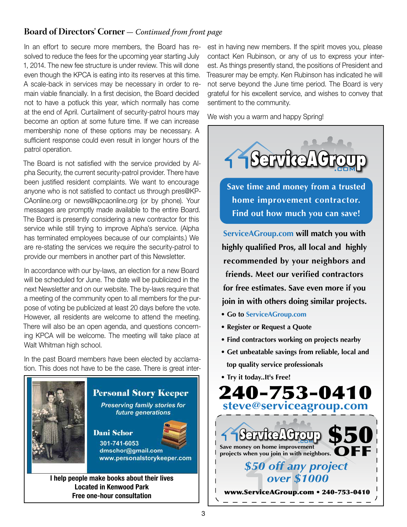### **Board of Directors' Corner** *— Continued from front page*

In an effort to secure more members, the Board has resolved to reduce the fees for the upcoming year starting July 1, 2014. The new fee structure is under review. This will done even though the KPCA is eating into its reserves at this time. A scale-back in services may be necessary in order to remain viable financially. In a first decision, the Board decided not to have a potluck this year, which normally has come at the end of April. Curtailment of security-patrol hours may become an option at some future time. If we can increase membership none of these options may be necessary. A sufficient response could even result in longer hours of the patrol operation.

The Board is not satisfied with the service provided by Alpha Security, the current security-patrol provider. There have been justified resident complaints. We want to encourage anyone who is not satisfied to contact us through pres@KP-CAonline.org or news@kpcaonline.org (or by phone). Your messages are promptly made available to the entire Board. The Board is presently considering a new contractor for this service while still trying to improve Alpha's service. (Alpha has terminated employees because of our complaints.) We are re-stating the services we require the security-patrol to provide our members in another part of this Newsletter.

In accordance with our by-laws, an election for a new Board will be scheduled for June. The date will be publicized in the next Newsletter and on our website. The by-laws require that a meeting of the community open to all members for the purpose of voting be publicized at least 20 days before the vote. However, all residents are welcome to attend the meeting. There will also be an open agenda, and questions concerning KPCA will be welcome. The meeting will take place at Walt Whitman high school.

In the past Board members have been elected by acclamation. This does not have to be the case. There is great inter-



I help people make books about their lives Located in Kenwood Park Free one-hour consultation

est in having new members. If the spirit moves you, please contact Ken Rubinson, or any of us to express your interest. As things presently stand, the positions of President and Treasurer may be empty. Ken Rubinson has indicated he will not serve beyond the June time period. The Board is very grateful for his excellent service, and wishes to convey that sentiment to the community.

We wish you a warm and happy Spring!



**friends. Meet our verified contractors for free estimates. Save even more if you join in with others doing similar projects.**

- **Go to ServiceAGroup.com**
- **Register or Request a Quote**
- **Find contractors working on projects nearby**
- **Get unbeatable savings from reliable, local and top quality service professionals**
- **Try it today..It's Free!**

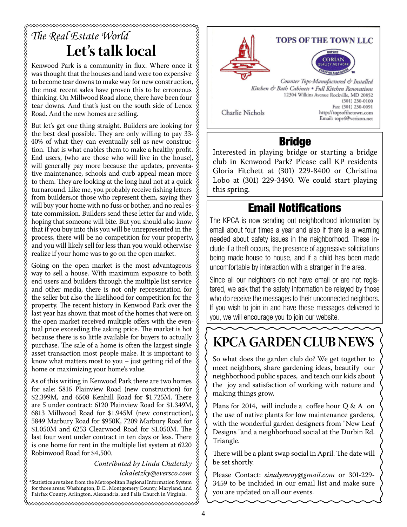# *The Real Estate World* **Let's talk local**

Kenwood Park is a community in flux. Where once it was thought that the houses and land were too expensive to become tear downs to make way for new construction, the most recent sales have proven this to be erroneous thinking. On Millwood Road alone, there have been four tear downs. And that's just on the south side of Lenox Road. And the new homes are selling.

But let's get one thing straight. Builders are looking for the best deal possible. They are only willing to pay 33- 40% of what they can eventually sell as new construction. That is what enables them to make a healthy profit.  $\&$ End users, (who are those who will live in the house), will generally pay more because the updates, preventative maintenance, schools and curb appeal mean more to them. They are looking at the long haul not at a quick turnaround. Like me, you probably receive fishing letters from builders,or those who represent them, saying they will buy your home with no fuss or bother, and no real estate commission. Builders send these letter far and wide,  $\hat{\&}$ hoping that someone will bite. But you should also know that if you buy into this you will be unrepresented in the process, there will be no competition for your property, and you will likely sell for less than you would otherwise realize if your home was to go on the open market.

Going on the open market is the most advantageous way to sell a house. With maximum exposure to both end users and builders through the multiple list service and other media, there is not only representation for the seller but also the likelihood for competition for the property. The recent history in Kenwood Park over the last year has shown that most of the homes that were on the open market received multiple offers with the eventual price exceeding the asking price. The market is hot because there is so little available for buyers to actually purchase. The sale of a home is often the largest single asset transaction most people make. It is important to know what matters most to you – just getting rid of the home or maximizing your home's value.

As of this writing in Kenwood Park there are two homes for sale: 5816 Plainview Road (new construction) for \$2.399M, and 6508 Kenhill Road for \$1.725M. There are 5 under contract: 6120 Plainview Road for \$1.349M, 6813 Millwood Road for \$1.945M (new construction), 5849 Marbury Road for \$950K, 7209 Marbury Road for \$1.050M and 6253 Clearwood Road for \$1.050M. The last four went under contract in ten days or less. There is one home for rent in the multiple list system at 6220 Robinwood Road for \$4,500.

> *Contributed by Linda Chaletzky lchaletzky@eversco.com*

\*Statistics are taken from the Metropolitan Regional Information System for three areas: Washington, D.C., Montgomery County, Maryland, and Fairfax County, Arlington, Alexandria, and Falls Church in Virginia.



XXXXXXX

# Bridge

Interested in playing bridge or starting a bridge club in Kenwood Park? Please call KP residents Gloria Fitchett at (301) 229-8400 or Christina Lobo at (301) 229-3490. We could start playing this spring.

### Email Notifications

The KPCA is now sending out neighborhood information by email about four times a year and also if there is a warning needed about safety issues in the neighborhood. These include if a theft occurs, the presence of aggressive solicitations being made house to house, and if a child has been made uncomfortable by interaction with a stranger in the area.

Since all our neighbors do not have email or are not registered, we ask that the safety information be relayed by those who do receive the messages to their unconnected neighbors. If you wish to join in and have these messages delivered to you, we will encourage you to join our website.

# **KPCA GARDEN CLUB NEWS**

So what does the garden club do? We get together to meet neighbors, share gardening ideas, beautify our neighborhood public spaces, and teach our kids about the joy and satisfaction of working with nature and making things grow.

Plans for 2014, will include a coffee hour Q & A on the use of native plants for low maintenance gardens, with the wonderful garden designers from "New Leaf Designs "and a neighborhood social at the Durbin Rd. Triangle.

There will be a plant swap social in April. The date will be set shortly.

Please Contact: *sinalymroy@gmail.com* or 301-229- 3459 to be included in our email list and make sure you are updated on all our events.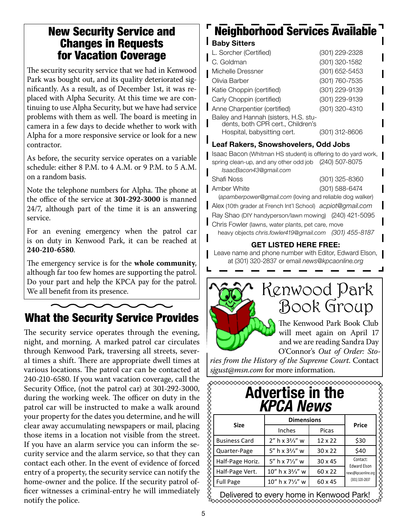### New Security Service and Changes in Requests for Vacation Coverage

The security security service that we had in Kenwood Park was bought out, and its quality deteriorated significantly. As a result, as of December 1st, it was replaced with Alpha Security. At this time we are continuing to use Alpha Security, but we have had service problems with them as well. The board is meeting in camera in a few days to decide whether to work with Alpha for a more responsive service or look for a new contractor.

As before, the security service operates on a variable schedule: either 8 P.M. to 4 A.M. or 9 P.M. to 5 A.M. on a random basis.

Note the telephone numbers for Alpha. The phone at the office of the service at **301-292-3000** is manned 24/7, although part of the time it is an answering service.

For an evening emergency when the patrol car is on duty in Kenwood Park, it can be reached at **240-210-6580**.

The emergency service is for the **whole community**, although far too few homes are supporting the patrol. Do your part and help the KPCA pay for the patrol.  $\mathcal{W}_{\text{e}}$  all benefit from its presence.

## What the Security Service Provides

The security service operates through the evening, night, and morning. A marked patrol car circulates through Kenwood Park, traversing all streets, several times a shift. There are appropriate dwell times at various locations. The patrol car can be contacted at 240-210-6580. If you want vacation coverage, call the Security Office, (not the patrol car) at 301-292-3000, during the working week. The officer on duty in the patrol car will be instructed to make a walk around your property for the dates you determine, and he will clear away accumulating newspapers or mail, placing those items in a location not visible from the street. If you have an alarm service you can inform the security service and the alarm service, so that they can contact each other. In the event of evidence of forced entry of a property, the security service can notify the home-owner and the police. If the security patrol officer witnesses a criminal-entry he will immediately notify the police.

# Neighborhood Services Available

#### **Baby Sitters**

| L. Sorcher (Certified)                                                     | (301) 229-2328 |
|----------------------------------------------------------------------------|----------------|
| C. Goldman                                                                 | (301) 320-1582 |
| Michelle Dressner                                                          | (301) 652-5453 |
| Olivia Barber                                                              | (301) 760-7535 |
| Katie Choppin (certified)                                                  | (301) 229-9139 |
| Carly Choppin (certified)                                                  | (301) 229-9139 |
| Anne Charpentier (certified)                                               | (301) 320-4310 |
| Bailey and Hannah (sisters, H.S. stu-<br>dents, both CPR cert., Children's |                |
| Hospital, babysitting cert.                                                | (301) 312-8606 |
|                                                                            |                |

#### Leaf Rakers, Snowshovelers, Odd Jobs

Isaac Bacon (Whitman HS student) is offering to do yard work, spring clean-up, and any other odd job (240) 507-8075

| IsaacBacon43@gmail.com                                     |                |
|------------------------------------------------------------|----------------|
| <b>Shafi Noss</b>                                          | (301) 325-8360 |
| Amber White                                                | (301) 588-6474 |
| (apamberpower@gmail.com (loving and reliable dog walker)   |                |
| Alex (10th grader at French Int'l School) acpiot@gmail.com |                |

Ray Shao (DIY handyperson/lawn mowing) (240) 421-5095 **Chris Fowler (lawns, water plants, pet care, move** 

heavy objects *chris.fowler419@gmail.com (301) 455-8187*

#### GET LISTED HERE FREE:

Leave name and phone number with Editor, Edward Elson, at (301) 320-2837 or email *news@kpcaonline.org*



# Book Group

The Kenwood Park Book Club will meet again on April 17 and we are reading Sandra Day O'Connor's *Out of Order: Sto-*

*ries from the History of the Supreme Court*. Contact *sjgust@msn.com* for more information.

| <b>Advertise in the</b><br><b>KPCA News</b> |                                           |                |                                 |  |
|---------------------------------------------|-------------------------------------------|----------------|---------------------------------|--|
|                                             | <b>Dimensions</b>                         |                | <b>Price</b>                    |  |
| <b>Size</b>                                 | Inches                                    | Picas          |                                 |  |
| <b>Business Card</b>                        | $2''$ h x $3'/3$ w                        | $12 \times 22$ | \$30                            |  |
| Quarter-Page                                | 5" h x 3 <sup>2</sup> / <sub>3</sub> " w  | $30 \times 22$ | \$40                            |  |
| Half-Page Horiz.                            | 5" h x 71/2" w                            | $30 \times 45$ | Contact:<br><b>Edward Elson</b> |  |
| Half-Page Vert.                             | 10" h x 3 <sup>2</sup> / <sub>3</sub> " w | 60 x 22        | news@kpcaonline.org             |  |
| <b>Full Page</b>                            | 10" h x 71/2" w                           | 60 x 45        | (301) 320-2837                  |  |

Delivered to every home in Kenwood Park!